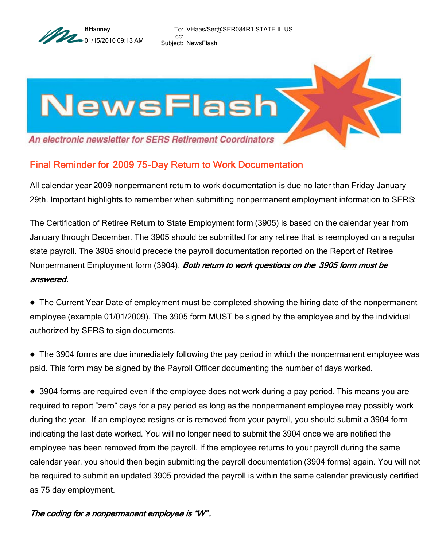

To: VHaas/Ser@SER084R1.STATE.IL.US cc: Subject: NewsFlash



## Final Reminder for 2009 75-Day Return to Work Documentation

All calendar year 2009 nonpermanent return to work documentation is due no later than Friday January 29th. Important highlights to remember when submitting nonpermanent employment information to SERS:

The Certification of Retiree Return to State Employment form (3905) is based on the calendar year from January through December. The 3905 should be submitted for any retiree that is reemployed on a regular state payroll. The 3905 should precede the payroll documentation reported on the Report of Retiree Nonpermanent Employment form (3904). Both return to work questions on the 3905 form must be answered.

 The Current Year Date of employment must be completed showing the hiring date of the nonpermanent employee (example 01/01/2009). The 3905 form MUST be signed by the employee and by the individual authorized by SERS to sign documents.

 The 3904 forms are due immediately following the pay period in which the nonpermanent employee was paid. This form may be signed by the Payroll Officer documenting the number of days worked.

 3904 forms are required even if the employee does not work during a pay period. This means you are required to report "zero" days for a pay period as long as the nonpermanent employee may possibly work during the year. If an employee resigns or is removed from your payroll, you should submit a 3904 form indicating the last date worked. You will no longer need to submit the 3904 once we are notified the employee has been removed from the payroll. If the employee returns to your payroll during the same calendar year, you should then begin submitting the payroll documentation (3904 forms) again. You will not be required to submit an updated 3905 provided the payroll is within the same calendar previously certified as 75 day employment.

## The coding for a nonpermanent employee is "W" .